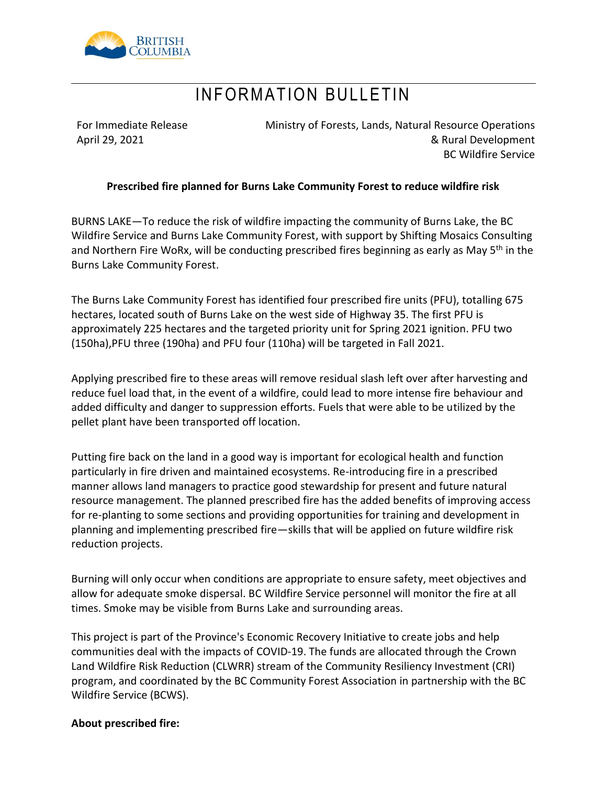

### INFORMATION BULLETIN

For Immediate Release April 29, 2021

Ministry of Forests, Lands, Natural Resource Operations & Rural Development BC Wildfire Service

### **Prescribed fire planned for Burns Lake Community Forest to reduce wildfire risk**

BURNS LAKE—To reduce the risk of wildfire impacting the community of Burns Lake, the BC Wildfire Service and Burns Lake Community Forest, with support by Shifting Mosaics Consulting and Northern Fire WoRx, will be conducting prescribed fires beginning as early as May 5<sup>th</sup> in the Burns Lake Community Forest.

The Burns Lake Community Forest has identified four prescribed fire units (PFU), totalling 675 hectares, located south of Burns Lake on the west side of Highway 35. The first PFU is approximately 225 hectares and the targeted priority unit for Spring 2021 ignition. PFU two (150ha),PFU three (190ha) and PFU four (110ha) will be targeted in Fall 2021.

Applying prescribed fire to these areas will remove residual slash left over after harvesting and reduce fuel load that, in the event of a wildfire, could lead to more intense fire behaviour and added difficulty and danger to suppression efforts. Fuels that were able to be utilized by the pellet plant have been transported off location.

Putting fire back on the land in a good way is important for ecological health and function particularly in fire driven and maintained ecosystems. Re-introducing fire in a prescribed manner allows land managers to practice good stewardship for present and future natural resource management. The planned prescribed fire has the added benefits of improving access for re-planting to some sections and providing opportunities for training and development in planning and implementing prescribed fire—skills that will be applied on future wildfire risk reduction projects.

Burning will only occur when conditions are appropriate to ensure safety, meet objectives and allow for adequate smoke dispersal. BC Wildfire Service personnel will monitor the fire at all times. Smoke may be visible from Burns Lake and surrounding areas.

This project is part of the Province's Economic Recovery Initiative to create jobs and help communities deal with the impacts of COVID-19. The funds are allocated through the Crown Land Wildfire Risk Reduction (CLWRR) stream of the Community Resiliency Investment (CRI) program, and coordinated by the BC Community Forest Association in partnership with the BC Wildfire Service (BCWS).

#### **About prescribed fire:**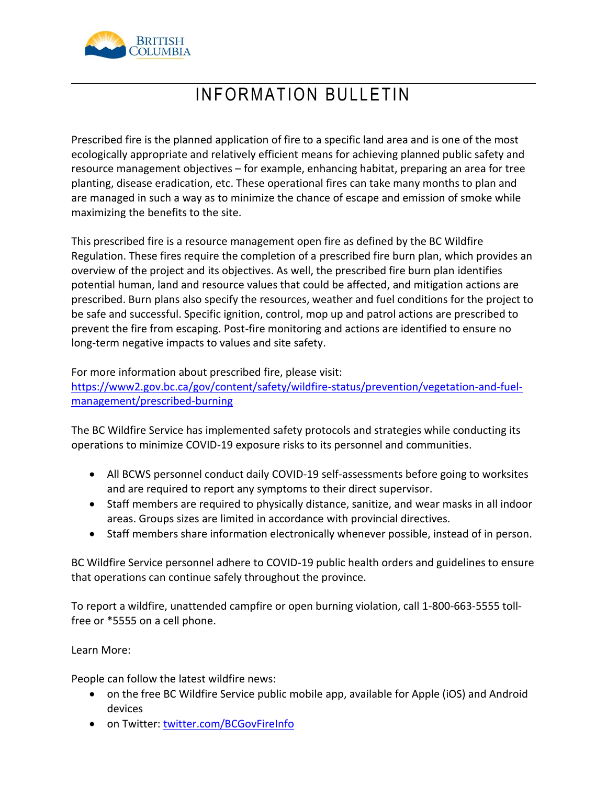

# INFORMATION BULLETIN

Prescribed fire is the planned application of fire to a specific land area and is one of the most ecologically appropriate and relatively efficient means for achieving planned public safety and resource management objectives – for example, enhancing habitat, preparing an area for tree planting, disease eradication, etc. These operational fires can take many months to plan and are managed in such a way as to minimize the chance of escape and emission of smoke while maximizing the benefits to the site.

This prescribed fire is a resource management open fire as defined by the BC Wildfire Regulation. These fires require the completion of a prescribed fire burn plan, which provides an overview of the project and its objectives. As well, the prescribed fire burn plan identifies potential human, land and resource values that could be affected, and mitigation actions are prescribed. Burn plans also specify the resources, weather and fuel conditions for the project to be safe and successful. Specific ignition, control, mop up and patrol actions are prescribed to prevent the fire from escaping. Post-fire monitoring and actions are identified to ensure no long-term negative impacts to values and site safety.

For more information about prescribed fire, please visit:

[https://www2.gov.bc.ca/gov/content/safety/wildfire-status/prevention/vegetation-and-fuel](https://www2.gov.bc.ca/gov/content/safety/wildfire-status/prevention/vegetation-and-fuel-management/prescribed-burning)[management/prescribed-burning](https://www2.gov.bc.ca/gov/content/safety/wildfire-status/prevention/vegetation-and-fuel-management/prescribed-burning)

The BC Wildfire Service has implemented safety protocols and strategies while conducting its operations to minimize COVID-19 exposure risks to its personnel and communities.

- All BCWS personnel conduct daily COVID-19 self-assessments before going to worksites and are required to report any symptoms to their direct supervisor.
- Staff members are required to physically distance, sanitize, and wear masks in all indoor areas. Groups sizes are limited in accordance with provincial directives.
- Staff members share information electronically whenever possible, instead of in person.

BC Wildfire Service personnel adhere to COVID-19 public health orders and guidelines to ensure that operations can continue safely throughout the province.

To report a wildfire, unattended campfire or open burning violation, call 1-800-663-5555 tollfree or \*5555 on a cell phone.

Learn More:

People can follow the latest wildfire news:

- on the free BC Wildfire Service public mobile app, available for Apple (iOS) and Android devices
- on Twitter: twitter.com/BCGovFireInfo